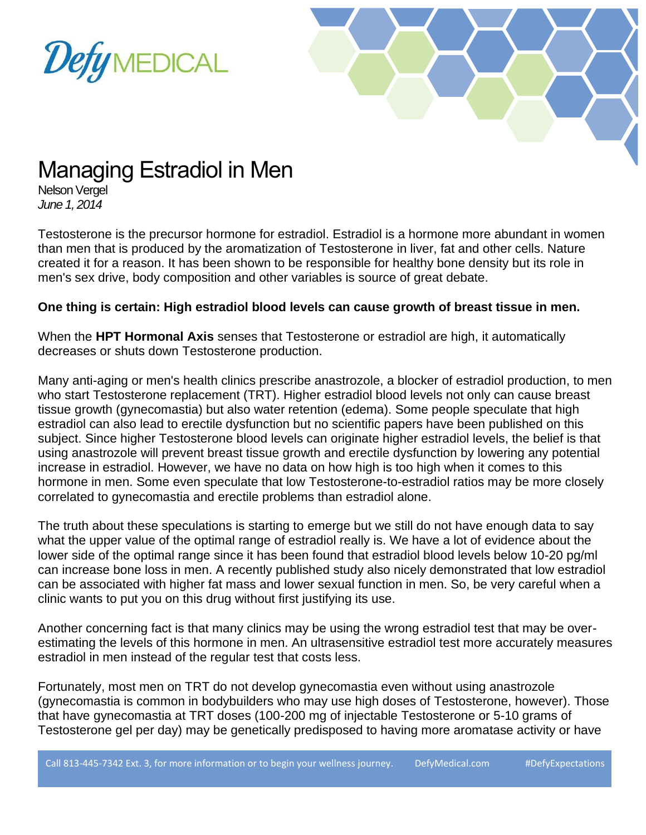



## Managing Estradiol in Men

Nelson Vergel *June 1, 2014*

Testosterone is the precursor hormone for estradiol. Estradiol is a hormone more abundant in women than men that is produced by the aromatization of Testosterone in liver, fat and other cells. Nature created it for a reason. It has been shown to be responsible for healthy bone density but its role in men's sex drive, body composition and other variables is source of great debate.

#### **One thing is certain: High estradiol blood levels can cause growth of breast tissue in men.**

When the **HPT Hormonal Axis** senses that Testosterone or estradiol are high, it automatically decreases or shuts down Testosterone production.

Many anti-aging or men's health clinics prescribe anastrozole, a blocker of estradiol production, to men who start Testosterone replacement (TRT). Higher estradiol blood levels not only can cause breast tissue growth (gynecomastia) but also water retention (edema). Some people speculate that high estradiol can also lead to erectile dysfunction but no scientific papers have been published on this subject. Since higher Testosterone blood levels can originate higher estradiol levels, the belief is that using anastrozole will prevent breast tissue growth and erectile dysfunction by lowering any potential increase in estradiol. However, we have no data on how high is too high when it comes to this hormone in men. Some even speculate that low Testosterone-to-estradiol ratios may be more closely correlated to gynecomastia and erectile problems than estradiol alone.

The truth about these speculations is starting to emerge but we still do not have enough data to say what the upper value of the optimal range of estradiol really is. We have a lot of evidence about the lower side of the optimal range since it has been found that estradiol blood levels below 10-20 pg/ml can increase bone loss in men. A recently published study also nicely demonstrated that low estradiol can be associated with higher fat mass and lower sexual function in men. So, be very careful when a clinic wants to put you on this drug without first justifying its use.

Another concerning fact is that many clinics may be using the wrong estradiol test that may be overestimating the levels of this hormone in men. An ultrasensitive estradiol test more accurately measures estradiol in men instead of the regular test that costs less.

Fortunately, most men on TRT do not develop gynecomastia even without using anastrozole (gynecomastia is common in bodybuilders who may use high doses of Testosterone, however). Those that have gynecomastia at TRT doses (100-200 mg of injectable Testosterone or 5-10 grams of Testosterone gel per day) may be genetically predisposed to having more aromatase activity or have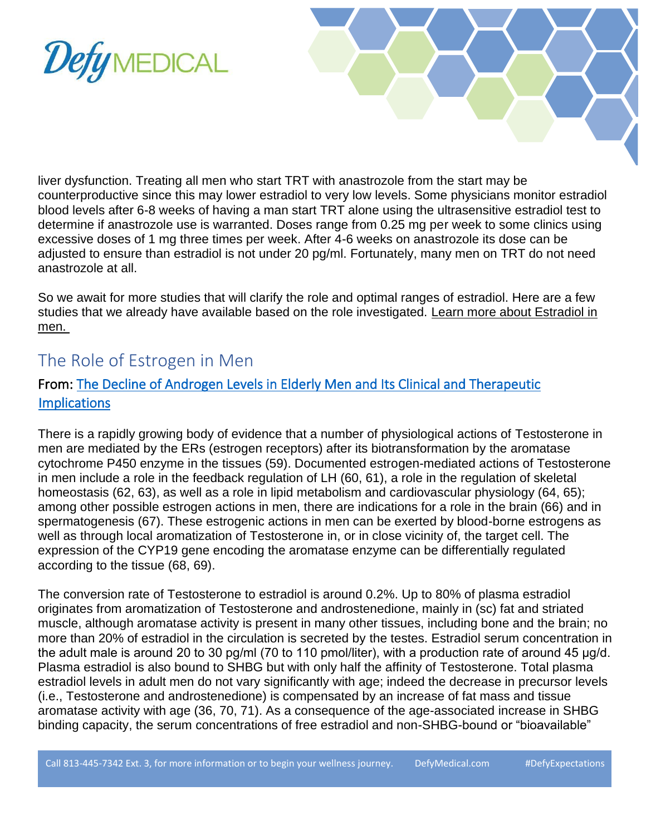



liver dysfunction. Treating all men who start TRT with anastrozole from the start may be counterproductive since this may lower estradiol to very low levels. Some physicians monitor estradiol blood levels after 6-8 weeks of having a man start TRT alone using the ultrasensitive estradiol test to determine if anastrozole use is warranted. Doses range from 0.25 mg per week to some clinics using excessive doses of 1 mg three times per week. After 4-6 weeks on anastrozole its dose can be adjusted to ensure than estradiol is not under 20 pg/ml. Fortunately, many men on TRT do not need anastrozole at all.

So we await for more studies that will clarify the role and optimal ranges of estradiol. Here are a few studies that we already have available based on the role investigated. Learn more about Estradiol in [men.](https://www.excelmale.com/estradiol-the-other-male-hormone/)

### The Role of Estrogen in Men

### From: [The Decline of Androgen Levels in Elderly Men and Its Clinical and Therapeutic](https://pubmed.ncbi.nlm.nih.gov/15901667/)  **Implications**

There is a rapidly growing body of evidence that a number of physiological actions of Testosterone in men are mediated by the ERs (estrogen receptors) after its biotransformation by the aromatase cytochrome P450 enzyme in the tissues (59). Documented estrogen-mediated actions of Testosterone in men include a role in the feedback regulation of LH (60, 61), a role in the regulation of skeletal homeostasis (62, 63), as well as a role in lipid metabolism and cardiovascular physiology (64, 65); among other possible estrogen actions in men, there are indications for a role in the brain (66) and in spermatogenesis (67). These estrogenic actions in men can be exerted by blood-borne estrogens as well as through local aromatization of Testosterone in, or in close vicinity of, the target cell. The expression of the CYP19 gene encoding the aromatase enzyme can be differentially regulated according to the tissue (68, 69).

The conversion rate of Testosterone to estradiol is around 0.2%. Up to 80% of plasma estradiol originates from aromatization of Testosterone and androstenedione, mainly in (sc) fat and striated muscle, although aromatase activity is present in many other tissues, including bone and the brain; no more than 20% of estradiol in the circulation is secreted by the testes. Estradiol serum concentration in the adult male is around 20 to 30 pg/ml (70 to 110 pmol/liter), with a production rate of around 45 μg/d. Plasma estradiol is also bound to SHBG but with only half the affinity of Testosterone. Total plasma estradiol levels in adult men do not vary significantly with age; indeed the decrease in precursor levels (i.e., Testosterone and androstenedione) is compensated by an increase of fat mass and tissue aromatase activity with age (36, 70, 71). As a consequence of the age-associated increase in SHBG binding capacity, the serum concentrations of free estradiol and non-SHBG-bound or "bioavailable"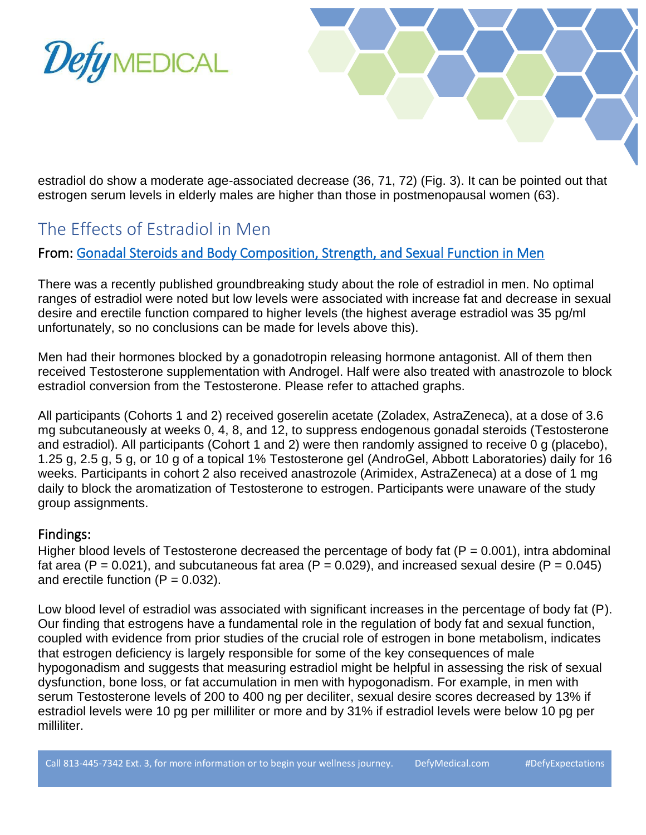



estradiol do show a moderate age-associated decrease (36, 71, 72) (Fig. 3). It can be pointed out that estrogen serum levels in elderly males are higher than those in postmenopausal women (63).

### The Effects of Estradiol in Men

### From: [Gonadal Steroids and Body Composition, Strength, and Sexual Function in Men](https://www.ncbi.nlm.nih.gov/pmc/articles/PMC4854098/)

There was a recently published groundbreaking study about the role of estradiol in men. No optimal ranges of estradiol were noted but low levels were associated with increase fat and decrease in sexual desire and erectile function compared to higher levels (the highest average estradiol was 35 pg/ml unfortunately, so no conclusions can be made for levels above this).

Men had their hormones blocked by a gonadotropin releasing hormone antagonist. All of them then received Testosterone supplementation with Androgel. Half were also treated with anastrozole to block estradiol conversion from the Testosterone. Please refer to attached graphs.

All participants (Cohorts 1 and 2) received goserelin acetate (Zoladex, AstraZeneca), at a dose of 3.6 mg subcutaneously at weeks 0, 4, 8, and 12, to suppress endogenous gonadal steroids (Testosterone and estradiol). All participants (Cohort 1 and 2) were then randomly assigned to receive 0 g (placebo), 1.25 g, 2.5 g, 5 g, or 10 g of a topical 1% Testosterone gel (AndroGel, Abbott Laboratories) daily for 16 weeks. Participants in cohort 2 also received anastrozole (Arimidex, AstraZeneca) at a dose of 1 mg daily to block the aromatization of Testosterone to estrogen. Participants were unaware of the study group assignments.

### Findings:

Higher blood levels of Testosterone decreased the percentage of body fat ( $P = 0.001$ ), intra abdominal fat area (P = 0.021), and subcutaneous fat area (P = 0.029), and increased sexual desire (P = 0.045) and erectile function  $(P = 0.032)$ .

Low blood level of estradiol was associated with significant increases in the percentage of body fat (P). Our finding that estrogens have a fundamental role in the regulation of body fat and sexual function, coupled with evidence from prior studies of the crucial role of estrogen in bone metabolism, indicates that estrogen deficiency is largely responsible for some of the key consequences of male hypogonadism and suggests that measuring estradiol might be helpful in assessing the risk of sexual dysfunction, bone loss, or fat accumulation in men with hypogonadism. For example, in men with serum Testosterone levels of 200 to 400 ng per deciliter, sexual desire scores decreased by 13% if estradiol levels were 10 pg per milliliter or more and by 31% if estradiol levels were below 10 pg per milliliter.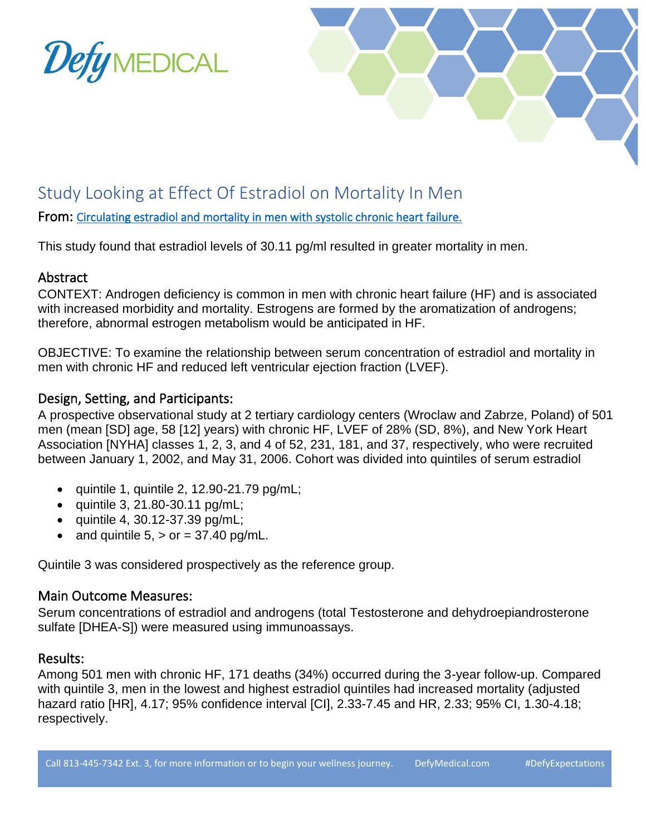



### Study Looking at Effect Of Estradiol on Mortality In Men

From: [Circulating estradiol and mortality in men with systolic chronic heart failure.](https://pubmed.ncbi.nlm.nih.gov/19436016/)

This study found that estradiol levels of 30.11 pg/ml resulted in greater mortality in men.

### Abstract

CONTEXT: Androgen deficiency is common in men with chronic heart failure (HF) and is associated with increased morbidity and mortality. Estrogens are formed by the aromatization of androgens; therefore, abnormal estrogen metabolism would be anticipated in HF.

OBJECTIVE: To examine the relationship between serum concentration of estradiol and mortality in men with chronic HF and reduced left ventricular ejection fraction (LVEF).

### Design, Setting, and Participants:

A prospective observational study at 2 tertiary cardiology centers (Wroclaw and Zabrze, Poland) of 501 men (mean [SD] age, 58 [12] years) with chronic HF, LVEF of 28% (SD, 8%), and New York Heart Association [NYHA] classes 1, 2, 3, and 4 of 52, 231, 181, and 37, respectively, who were recruited between January 1, 2002, and May 31, 2006. Cohort was divided into quintiles of serum estradiol

- $\bullet$  quintile 1, quintile 2, 12.90-21.79 pg/mL;
- quintile 3, 21.80-30.11  $pg/mL;$
- quintile 4, 30.12-37.39  $pq/mL;$
- and quintile  $5 \cdot$  or = 37.40 pg/mL.

Quintile 3 was considered prospectively as the reference group.

### Main Outcome Measures:

Serum concentrations of estradiol and androgens (total Testosterone and dehydroepiandrosterone sulfate [DHEA-S]) were measured using immunoassays.

#### Results:

Among 501 men with chronic HF, 171 deaths (34%) occurred during the 3-year follow-up. Compared with quintile 3, men in the lowest and highest estradiol quintiles had increased mortality (adjusted hazard ratio [HR], 4.17; 95% confidence interval [CI], 2.33-7.45 and HR, 2.33; 95% CI, 1.30-4.18; respectively.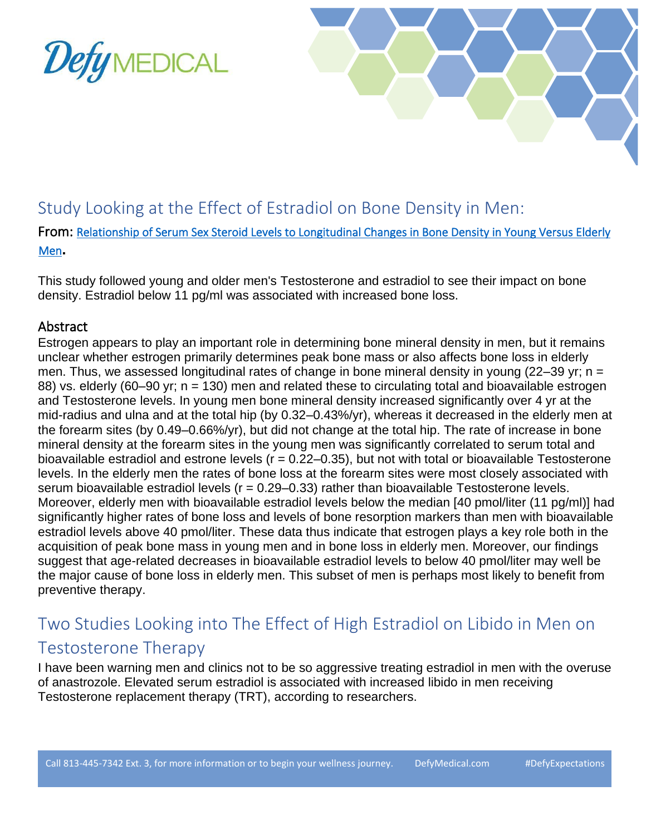



### Study Looking at the Effect of Estradiol on Bone Density in Men:

From: [Relationship of Serum Sex Steroid Levels to Longitudinal Changes in Bone Density in Young Versus Elderly](https://pubmed.ncbi.nlm.nih.gov/11502778/#:~:text=In%20young%20men%20bone%20mineral,change%20at%20the%20total%20hip.)  [Men](https://pubmed.ncbi.nlm.nih.gov/11502778/#:~:text=In%20young%20men%20bone%20mineral,change%20at%20the%20total%20hip.)**.**

This study followed young and older men's Testosterone and estradiol to see their impact on bone density. Estradiol below 11 pg/ml was associated with increased bone loss.

### Abstract

Estrogen appears to play an important role in determining bone mineral density in men, but it remains unclear whether estrogen primarily determines peak bone mass or also affects bone loss in elderly men. Thus, we assessed longitudinal rates of change in bone mineral density in young (22–39 yr; n = 88) vs. elderly (60–90 yr; n = 130) men and related these to circulating total and bioavailable estrogen and Testosterone levels. In young men bone mineral density increased significantly over 4 yr at the mid-radius and ulna and at the total hip (by 0.32–0.43%/yr), whereas it decreased in the elderly men at the forearm sites (by 0.49–0.66%/yr), but did not change at the total hip. The rate of increase in bone mineral density at the forearm sites in the young men was significantly correlated to serum total and bioavailable estradiol and estrone levels ( $r = 0.22-0.35$ ), but not with total or bioavailable Testosterone levels. In the elderly men the rates of bone loss at the forearm sites were most closely associated with serum bioavailable estradiol levels ( $r = 0.29 - 0.33$ ) rather than bioavailable Testosterone levels. Moreover, elderly men with bioavailable estradiol levels below the median [40 pmol/liter (11 pg/ml)] had significantly higher rates of bone loss and levels of bone resorption markers than men with bioavailable estradiol levels above 40 pmol/liter. These data thus indicate that estrogen plays a key role both in the acquisition of peak bone mass in young men and in bone loss in elderly men. Moreover, our findings suggest that age-related decreases in bioavailable estradiol levels to below 40 pmol/liter may well be the major cause of bone loss in elderly men. This subset of men is perhaps most likely to benefit from preventive therapy.

### Two Studies Looking into The Effect of High Estradiol on Libido in Men on Testosterone Therapy

I have been warning men and clinics not to be so aggressive treating estradiol in men with the overuse of anastrozole. Elevated serum estradiol is associated with increased libido in men receiving Testosterone replacement therapy (TRT), according to researchers.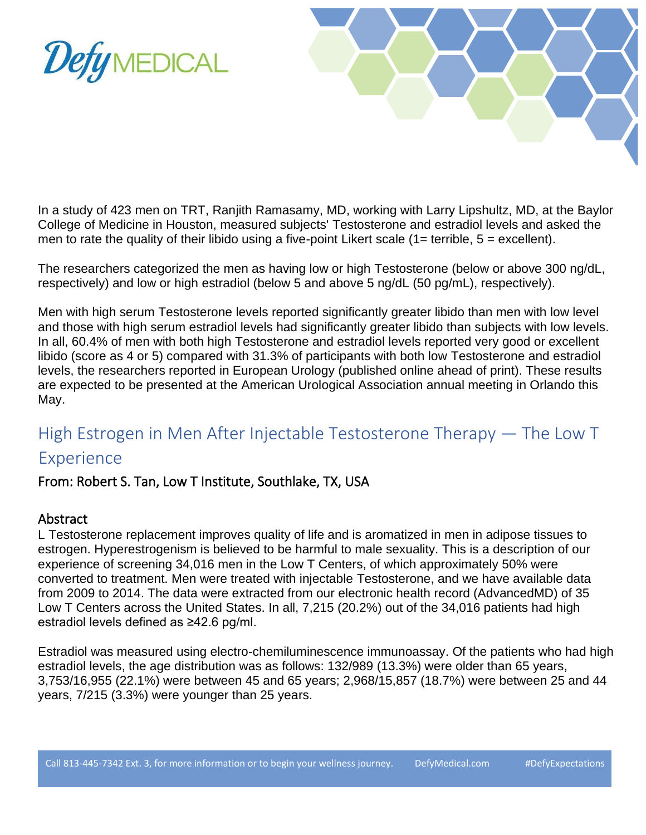



In a study of 423 men on TRT, Ranjith Ramasamy, MD, working with Larry Lipshultz, MD, at the Baylor College of Medicine in Houston, measured subjects' Testosterone and estradiol levels and asked the men to rate the quality of their libido using a five-point Likert scale  $(1=$  terrible,  $5=$  excellent).

The researchers categorized the men as having low or high Testosterone (below or above 300 ng/dL, respectively) and low or high estradiol (below 5 and above 5 ng/dL (50 pg/mL), respectively).

Men with high serum Testosterone levels reported significantly greater libido than men with low level and those with high serum estradiol levels had significantly greater libido than subjects with low levels. In all, 60.4% of men with both high Testosterone and estradiol levels reported very good or excellent libido (score as 4 or 5) compared with 31.3% of participants with both low Testosterone and estradiol levels, the researchers reported in European Urology (published online ahead of print). These results are expected to be presented at the American Urological Association annual meeting in Orlando this May.

# High Estrogen in Men After Injectable Testosterone Therapy — The Low T

### Experience

### From: Robert S. Tan, Low T Institute, Southlake, TX, USA

#### Abstract

L Testosterone replacement improves quality of life and is aromatized in men in adipose tissues to estrogen. Hyperestrogenism is believed to be harmful to male sexuality. This is a description of our experience of screening 34,016 men in the Low T Centers, of which approximately 50% were converted to treatment. Men were treated with injectable Testosterone, and we have available data from 2009 to 2014. The data were extracted from our electronic health record (AdvancedMD) of 35 Low T Centers across the United States. In all, 7,215 (20.2%) out of the 34,016 patients had high estradiol levels defined as ≥42.6 pg/ml.

Estradiol was measured using electro-chemiluminescence immunoassay. Of the patients who had high estradiol levels, the age distribution was as follows: 132/989 (13.3%) were older than 65 years, 3,753/16,955 (22.1%) were between 45 and 65 years; 2,968/15,857 (18.7%) were between 25 and 44 years, 7/215 (3.3%) were younger than 25 years.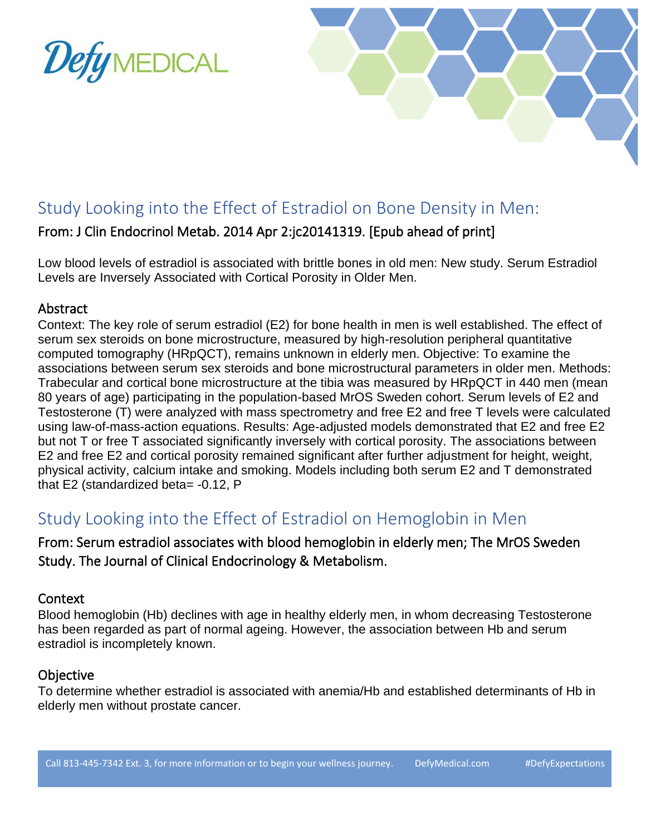



### Study Looking into the Effect of Estradiol on Bone Density in Men:

### From: J Clin Endocrinol Metab. 2014 Apr 2:jc20141319. [Epub ahead of print]

Low blood levels of estradiol is associated with brittle bones in old men: New study. Serum Estradiol Levels are Inversely Associated with Cortical Porosity in Older Men.

#### Abstract

Context: The key role of serum estradiol (E2) for bone health in men is well established. The effect of serum sex steroids on bone microstructure, measured by high-resolution peripheral quantitative computed tomography (HRpQCT), remains unknown in elderly men. Objective: To examine the associations between serum sex steroids and bone microstructural parameters in older men. Methods: Trabecular and cortical bone microstructure at the tibia was measured by HRpQCT in 440 men (mean 80 years of age) participating in the population-based MrOS Sweden cohort. Serum levels of E2 and Testosterone (T) were analyzed with mass spectrometry and free E2 and free T levels were calculated using law-of-mass-action equations. Results: Age-adjusted models demonstrated that E2 and free E2 but not T or free T associated significantly inversely with cortical porosity. The associations between E2 and free E2 and cortical porosity remained significant after further adjustment for height, weight, physical activity, calcium intake and smoking. Models including both serum E2 and T demonstrated that E2 (standardized beta= -0.12, P

### Study Looking into the Effect of Estradiol on Hemoglobin in Men

### From: Serum estradiol associates with blood hemoglobin in elderly men; The MrOS Sweden Study. The Journal of Clinical Endocrinology & Metabolism.

#### Context

Blood hemoglobin (Hb) declines with age in healthy elderly men, in whom decreasing Testosterone has been regarded as part of normal ageing. However, the association between Hb and serum estradiol is incompletely known.

### **Objective**

To determine whether estradiol is associated with anemia/Hb and established determinants of Hb in elderly men without prostate cancer.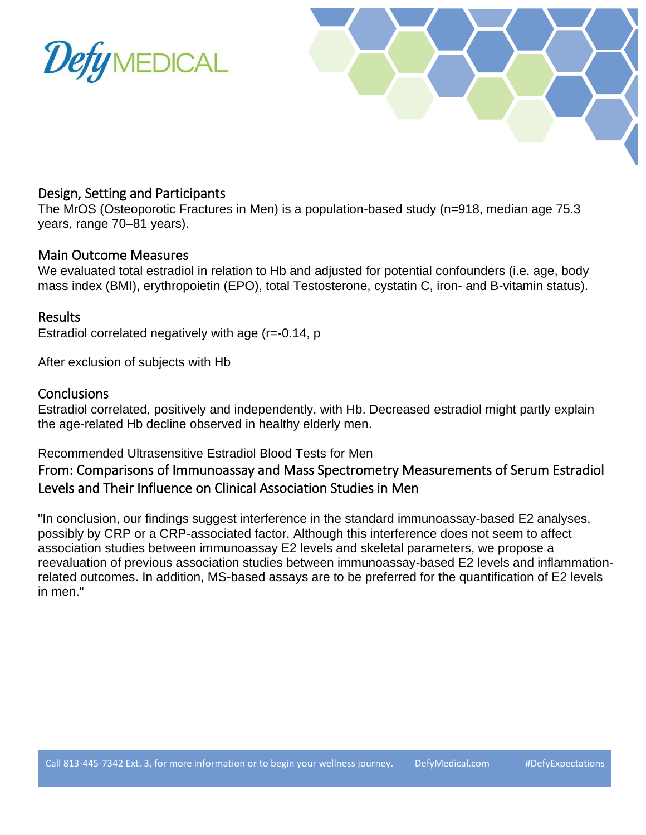



#### Design, Setting and Participants

The MrOS (Osteoporotic Fractures in Men) is a population-based study (n=918, median age 75.3 years, range 70–81 years).

#### Main Outcome Measures

We evaluated total estradiol in relation to Hb and adjusted for potential confounders (i.e. age, body mass index (BMI), erythropoietin (EPO), total Testosterone, cystatin C, iron- and B-vitamin status).

#### Results

Estradiol correlated negatively with age (r=-0.14, p

After exclusion of subjects with Hb

#### **Conclusions**

Estradiol correlated, positively and independently, with Hb. Decreased estradiol might partly explain the age-related Hb decline observed in healthy elderly men.

#### Recommended Ultrasensitive Estradiol Blood Tests for Men

### From: Comparisons of Immunoassay and Mass Spectrometry Measurements of Serum Estradiol Levels and Their Influence on Clinical Association Studies in Men

"In conclusion, our findings suggest interference in the standard immunoassay-based E2 analyses, possibly by CRP or a CRP-associated factor. Although this interference does not seem to affect association studies between immunoassay E2 levels and skeletal parameters, we propose a reevaluation of previous association studies between immunoassay-based E2 levels and inflammationrelated outcomes. In addition, MS-based assays are to be preferred for the quantification of E2 levels in men."